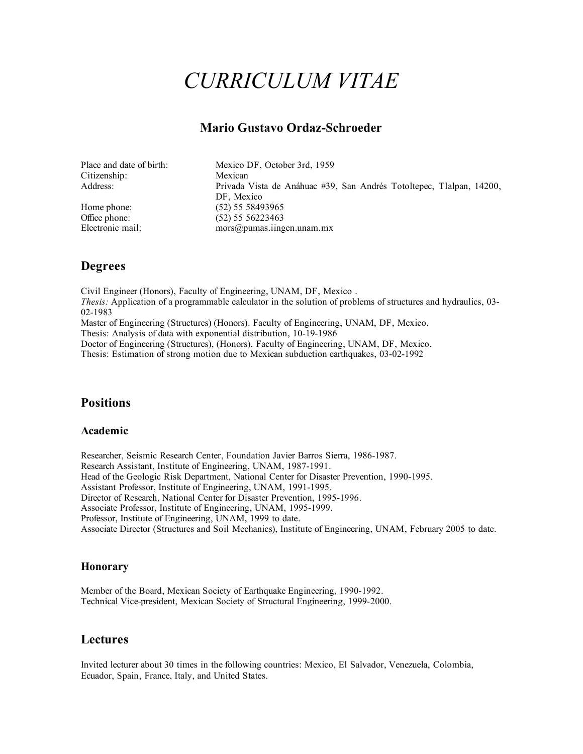# *CURRICULUM VITAE*

# **Mario Gustavo Ordaz-Schroeder**

| Place and date of birth: | Mexico DF, October 3rd, 1959                                         |
|--------------------------|----------------------------------------------------------------------|
| Citizenship:             | Mexican                                                              |
| Address:                 | Privada Vista de Anáhuac #39, San Andrés Totoltepec, Tlalpan, 14200, |
|                          | DF, Mexico                                                           |
| Home phone:              | (52) 55 58493965                                                     |
| Office phone:            | $(52)$ 55 56223463                                                   |
| Electronic mail:         | mors@pumas.ingen.unam.mx                                             |

# **Degrees**

Civil Engineer (Honors), Faculty of Engineering, UNAM, DF, Mexico . *Thesis:* Application of a programmable calculator in the solution of problems of structures and hydraulics, 03- 02-1983 Master of Engineering (Structures) (Honors). Faculty of Engineering, UNAM, DF, Mexico. Thesis: Analysis of data with exponential distribution, 10-19-1986 Doctor of Engineering (Structures), (Honors). Faculty of Engineering, UNAM, DF, Mexico. Thesis: Estimation of strong motion due to Mexican subduction earthquakes, 03-02-1992

# **Positions**

#### **Academic**

Researcher, Seismic Research Center, Foundation Javier Barros Sierra, 1986-1987. Research Assistant, Institute of Engineering, UNAM, 1987-1991. Head of the Geologic Risk Department, National Center for Disaster Prevention, 1990-1995. Assistant Professor, Institute of Engineering, UNAM, 1991-1995. Director of Research, National Center for Disaster Prevention, 1995-1996. Associate Professor, Institute of Engineering, UNAM, 1995-1999. Professor, Institute of Engineering, UNAM, 1999 to date. Associate Director (Structures and Soil Mechanics), Institute of Engineering, UNAM, February 2005 to date.

#### **Honorary**

Member of the Board, Mexican Society of Earthquake Engineering, 1990-1992. Technical Vice-president, Mexican Society of Structural Engineering, 1999-2000.

## **Lectures**

Invited lecturer about 30 times in the following countries: Mexico, El Salvador, Venezuela, Colombia, Ecuador, Spain, France, Italy, and United States.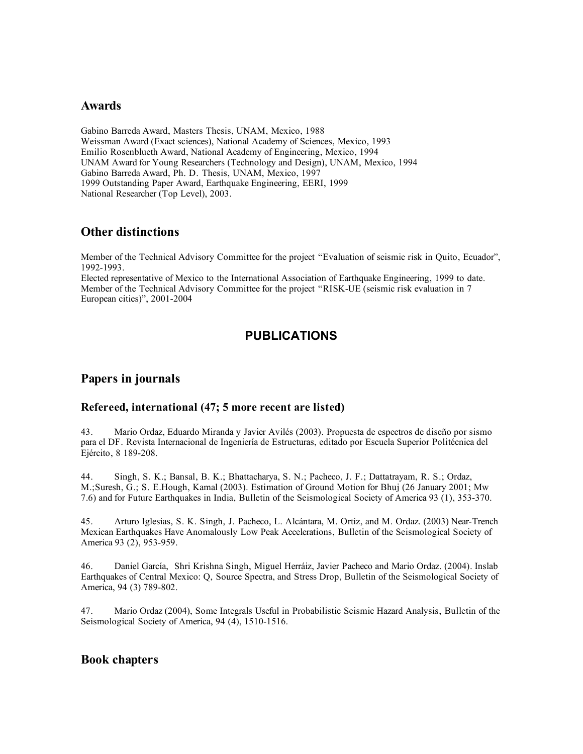#### **Awards**

Gabino Barreda Award, Masters Thesis, UNAM, Mexico, 1988 Weissman Award (Exact sciences), National Academy of Sciences, Mexico, 1993 Emilio Rosenblueth Award, National Academy of Engineering, Mexico, 1994 UNAM Award for Young Researchers (Technology and Design), UNAM, Mexico, 1994 Gabino Barreda Award, Ph. D. Thesis, UNAM, Mexico, 1997 1999 Outstanding Paper Award, Earthquake Engineering, EERI, 1999 National Researcher (Top Level), 2003.

## **Other distinctions**

Member of the Technical Advisory Committee for the project "Evaluation of seismic risk in Quito, Ecuador", 1992-1993.

Elected representative of Mexico to the International Association of Earthquake Engineering, 1999 to date. Member of the Technical Advisory Committee for the project "RISK-UE (seismic risk evaluation in 7 European cities)", 2001-2004

# **PUBLICATIONS**

## **Papers in journals**

#### **Refereed, international (47; 5 more recent are listed)**

43. Mario Ordaz, Eduardo Miranda y Javier Avilés (2003). Propuesta de espectros de diseño por sismo para el DF. Revista Internacional de Ingeniería de Estructuras, editado por Escuela Superior Politécnica del Ejército, 8 189-208.

44. Singh, S. K.; Bansal, B. K.; Bhattacharya, S. N.; Pacheco, J. F.; Dattatrayam, R. S.; Ordaz, M.;Suresh, G.; S. E.Hough, Kamal (2003). Estimation of Ground Motion for Bhuj (26 January 2001; Mw 7.6) and for Future Earthquakes in India, Bulletin of the Seismological Society of America 93 (1), 353-370.

45. Arturo Iglesias, S. K. Singh, J. Pacheco, L. Alcántara, M. Ortiz, and M. Ordaz. (2003) Near-Trench Mexican Earthquakes Have Anomalously Low Peak Accelerations, Bulletin of the Seismological Society of America 93 (2), 953-959.

46. Daniel García, Shri Krishna Singh, Miguel Herráiz, Javier Pacheco and Mario Ordaz. (2004). Inslab Earthquakes of Central Mexico: Q, Source Spectra, and Stress Drop, Bulletin of the Seismological Society of America, 94 (3) 789-802.

47. Mario Ordaz (2004), Some Integrals Useful in Probabilistic Seismic Hazard Analysis, Bulletin of the Seismological Society of America, 94 (4), 1510-1516.

## **Book chapters**